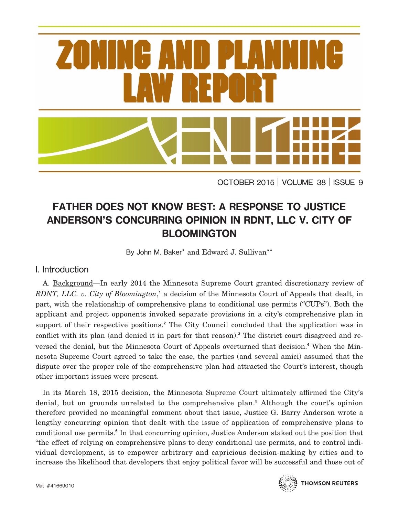

OCTOBER 2015 VOLUME 38 ISSUE 9

# **FATHER DOES NOT KNOW BEST: A RESPONSE TO JUSTICE ANDERSON'S CONCURRING OPINION IN RDNT, LLC V. CITY OF BLOOMINGTON**

By John M. Baker**\*** and Edward J. Sullivan**\*\***

# I. Introduction

A. Background—In early 2014 the Minnesota Supreme Court granted discretionary review of RDNT, LLC. v. City of Bloomington,<sup>1</sup> a decision of the Minnesota Court of Appeals that dealt, in part, with the relationship of comprehensive plans to conditional use permits ("CUPs"). Both the applicant and project opponents invoked separate provisions in a city's comprehensive plan in support of their respective positions.**<sup>2</sup>** The City Council concluded that the application was in conflict with its plan (and denied it in part for that reason).<sup>3</sup> The district court disagreed and reversed the denial, but the Minnesota Court of Appeals overturned that decision.**<sup>4</sup>** When the Minnesota Supreme Court agreed to take the case, the parties (and several amici) assumed that the dispute over the proper role of the comprehensive plan had attracted the Court's interest, though other important issues were present.

In its March 18, 2015 decision, the Minnesota Supreme Court ultimately affirmed the City's denial, but on grounds unrelated to the comprehensive plan.**<sup>5</sup>** Although the court's opinion therefore provided no meaningful comment about that issue, Justice G. Barry Anderson wrote a lengthy concurring opinion that dealt with the issue of application of comprehensive plans to conditional use permits.**<sup>6</sup>** In that concurring opinion, Justice Anderson staked out the position that "the effect of relying on comprehensive plans to deny conditional use permits, and to control individual development, is to empower arbitrary and capricious decision-making by cities and to increase the likelihood that developers that enjoy political favor will be successful and those out of



**THOMSON REUTERS**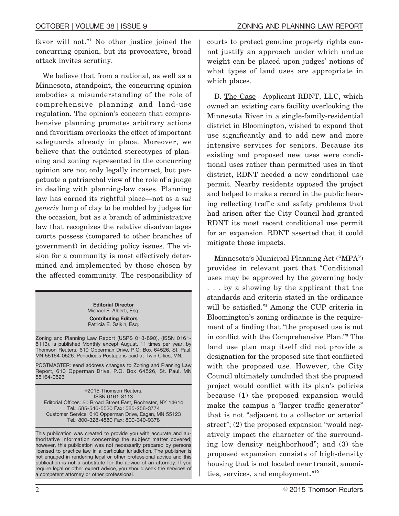favor will not."**<sup>7</sup>** No other justice joined the concurring opinion, but its provocative, broad attack invites scrutiny.

We believe that from a national, as well as a Minnesota, standpoint, the concurring opinion embodies a misunderstanding of the role of comprehensive planning and land-use regulation. The opinion's concern that comprehensive planning promotes arbitrary actions and favoritism overlooks the effect of important safeguards already in place. Moreover, we believe that the outdated stereotypes of planning and zoning represented in the concurring opinion are not only legally incorrect, but perpetuate a patriarchal view of the role of a judge in dealing with planning-law cases. Planning law has earned its rightful place—not as a *sui generis* lump of clay to be molded by judges for the occasion, but as a branch of administrative law that recognizes the relative disadvantages courts possess (compared to other branches of government) in deciding policy issues. The vision for a community is most effectively determined and implemented by those chosen by the affected community. The responsibility of

> **Editorial Director** Michael F. Alberti, Esq. **Contributing Editors** Patricia E. Salkin, Esq.

Zoning and Planning Law Report (USPS 013-890), (ISSN 0161- 8113), is published Monthly except August, 11 times per year, by Thomson Reuters, 610 Opperman Drive, P.O. Box 64526, St. Paul, MN 55164-0526. Periodicals Postage is paid at Twin Cities, MN.

POSTMASTER: send address changes to Zoning and Planning Law Report, 610 Opperman Drive, P.O. Box 64526, St. Paul, MN 55164-0526.

©2015 Thomson Reuters. ISSN 0161-8113 Editorial Offices: 50 Broad Street East, Rochester, NY 14614 Tel.: 585-546-5530 Fax: 585-258-3774 Customer Service: 610 Opperman Drive, Eagan, MN 55123 Tel.: 800-328-4880 Fax: 800-340-9378

This publication was created to provide you with accurate and authoritative information concerning the subject matter covered; however, this publication was not necessarily prepared by persons licensed to practice law in a particular jurisdiction. The publisher is not engaged in rendering legal or other professional advice and this publication is not a substitute for the advice of an attorney. If you require legal or other expert advice, you should seek the services of a competent attorney or other professional.

courts to protect genuine property rights cannot justify an approach under which undue weight can be placed upon judges' notions of what types of land uses are appropriate in which places.

B. The Case—Applicant RDNT, LLC, which owned an existing care facility overlooking the Minnesota River in a single-family-residential district in Bloomington, wished to expand that use signicantly and to add new and more intensive services for seniors. Because its existing and proposed new uses were conditional uses rather than permitted uses in that district, RDNT needed a new conditional use permit. Nearby residents opposed the project and helped to make a record in the public hearing reflecting traffic and safety problems that had arisen after the City Council had granted RDNT its most recent conditional use permit for an expansion. RDNT asserted that it could mitigate those impacts.

Minnesota's Municipal Planning Act ("MPA") provides in relevant part that "Conditional uses may be approved by the governing body . . . by a showing by the applicant that the standards and criteria stated in the ordinance will be satisfied."<sup>8</sup> Among the CUP criteria in Bloomington's zoning ordinance is the requirement of a finding that "the proposed use is not in conflict with the Comprehensive Plan."<sup>9</sup> The land use plan map itself did not provide a designation for the proposed site that conflicted with the proposed use. However, the City Council ultimately concluded that the proposed project would conflict with its plan's policies because (1) the proposed expansion would make the campus a "larger traffic generator" that is not "adjacent to a collector or arterial street"; (2) the proposed expansion "would negatively impact the character of the surrounding low density neighborhood"; and (3) the proposed expansion consists of high-density housing that is not located near transit, amenities, services, and employment."**<sup>10</sup>**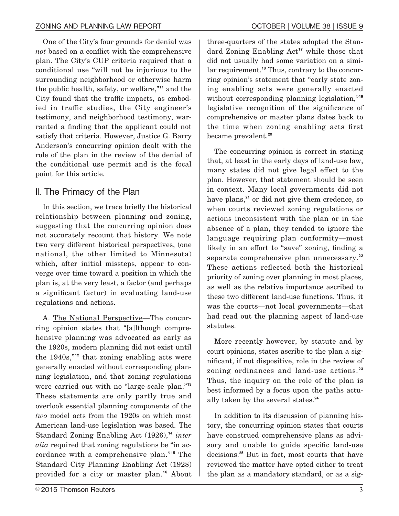One of the City's four grounds for denial was *not* based on a conflict with the comprehensive plan. The City's CUP criteria required that a conditional use "will not be injurious to the surrounding neighborhood or otherwise harm the public health, safety, or welfare,"**<sup>11</sup>** and the City found that the traffic impacts, as embodied in traffic studies, the City engineer's testimony, and neighborhood testimony, warranted a finding that the applicant could not satisfy that criteria. However, Justice G. Barry Anderson's concurring opinion dealt with the role of the plan in the review of the denial of the conditional use permit and is the focal point for this article.

## II. The Primacy of the Plan

In this section, we trace briefly the historical relationship between planning and zoning, suggesting that the concurring opinion does not accurately recount that history. We note two very different historical perspectives, (one national, the other limited to Minnesota) which, after initial missteps, appear to converge over time toward a position in which the plan is, at the very least, a factor (and perhaps a signicant factor) in evaluating land-use regulations and actions.

A. The National Perspective—The concurring opinion states that "[a]lthough comprehensive planning was advocated as early as the 1920s, modern planning did not exist until the 1940s,"**<sup>12</sup>** that zoning enabling acts were generally enacted without corresponding planning legislation, and that zoning regulations were carried out with no "large-scale plan."**<sup>13</sup>** These statements are only partly true and overlook essential planning components of the *two* model acts from the 1920s on which most American land-use legislation was based. The Standard Zoning Enabling Act (1926),**<sup>14</sup>** *inter alia* required that zoning regulations be "in accordance with a comprehensive plan."**<sup>15</sup>** The Standard City Planning Enabling Act (1928) provided for a city or master plan.**<sup>16</sup>** About three-quarters of the states adopted the Standard Zoning Enabling Act**<sup>17</sup>** while those that did not usually had some variation on a similar requirement.**<sup>18</sup>** Thus, contrary to the concurring opinion's statement that "early state zoning enabling acts were generally enacted without corresponding planning legislation,"**<sup>19</sup>** legislative recognition of the significance of comprehensive or master plans dates back to the time when zoning enabling acts first became prevalent.**<sup>20</sup>**

The concurring opinion is correct in stating that, at least in the early days of land-use law, many states did not give legal effect to the plan. However, that statement should be seen in context. Many local governments did not have plans,**<sup>21</sup>** or did not give them credence, so when courts reviewed zoning regulations or actions inconsistent with the plan or in the absence of a plan, they tended to ignore the language requiring plan conformity—most likely in an effort to "save" zoning, finding a separate comprehensive plan unnecessary.**<sup>22</sup>** These actions reflected both the historical priority of zoning over planning in most places, as well as the relative importance ascribed to these two different land-use functions. Thus, it was the courts—not local governments—that had read out the planning aspect of land-use statutes.

More recently however, by statute and by court opinions, states ascribe to the plan a signicant, if not dispositive, role in the review of zoning ordinances and land-use actions.**<sup>23</sup>** Thus, the inquiry on the role of the plan is best informed by a focus upon the paths actually taken by the several states.**<sup>24</sup>**

In addition to its discussion of planning history, the concurring opinion states that courts have construed comprehensive plans as advisory and unable to guide specific land-use decisions.**<sup>25</sup>** But in fact, most courts that have reviewed the matter have opted either to treat the plan as a mandatory standard, or as a sig-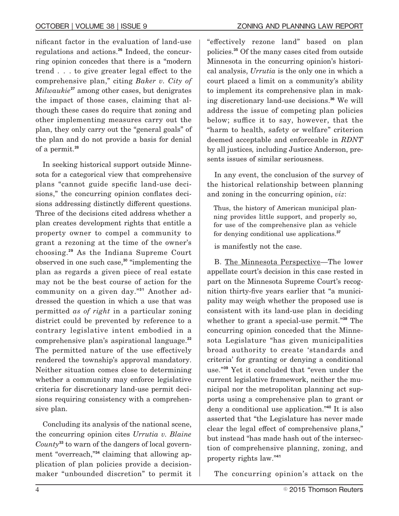nicant factor in the evaluation of land-use regulations and actions.**<sup>26</sup>** Indeed, the concurring opinion concedes that there is a "modern trend . . . to give greater legal effect to the comprehensive plan," citing *Baker v. City of Milwaukie***<sup>27</sup>** among other cases, but denigrates the impact of those cases, claiming that although these cases do require that zoning and other implementing measures carry out the plan, they only carry out the "general goals" of the plan and do not provide a basis for denial of a permit.**<sup>28</sup>**

In seeking historical support outside Minnesota for a categorical view that comprehensive plans "cannot guide specific land-use decisions," the concurring opinion conflates decisions addressing distinctly different questions. Three of the decisions cited address whether a plan creates development rights that entitle a property owner to compel a community to grant a rezoning at the time of the owner's choosing.**<sup>29</sup>** As the Indiana Supreme Court observed in one such case,**<sup>30</sup>** "implementing the plan as regards a given piece of real estate may not be the best course of action for the community on a given day."**<sup>31</sup>** Another addressed the question in which a use that was permitted *as of right* in a particular zoning district could be prevented by reference to a contrary legislative intent embodied in a comprehensive plan's aspirational language.**<sup>32</sup>** The permitted nature of the use effectively rendered the township's approval mandatory. Neither situation comes close to determining whether a community may enforce legislative criteria for discretionary land-use permit decisions requiring consistency with a comprehensive plan.

Concluding its analysis of the national scene, the concurring opinion cites *Urrutia v. Blaine County***<sup>33</sup>** to warn of the dangers of local government "overreach,"**<sup>34</sup>** claiming that allowing application of plan policies provide a decisionmaker "unbounded discretion" to permit it

"effectively rezone land" based on plan policies.**<sup>35</sup>** Of the many cases cited from outside Minnesota in the concurring opinion's historical analysis, *Urrutia* is the only one in which a court placed a limit on a community's ability to implement its comprehensive plan in making discretionary land-use decisions.**<sup>36</sup>** We will address the issue of competing plan policies below; suffice it to say, however, that the "harm to health, safety or welfare" criterion deemed acceptable and enforceable in *RDNT* by all justices*,* including Justice Anderson, presents issues of similar seriousness.

In any event, the conclusion of the survey of the historical relationship between planning and zoning in the concurring opinion, *viz*:

Thus, the history of American municipal planning provides little support, and properly so, for use of the comprehensive plan as vehicle for denying conditional use applications.**<sup>37</sup>**

is manifestly not the case.

B. The Minnesota Perspective—The lower appellate court's decision in this case rested in part on the Minnesota Supreme Court's recognition thirty-five years earlier that "a municipality may weigh whether the proposed use is consistent with its land-use plan in deciding whether to grant a special-use permit."**<sup>38</sup>** The concurring opinion conceded that the Minnesota Legislature "has given municipalities broad authority to create 'standards and criteria' for granting or denying a conditional use."**<sup>39</sup>** Yet it concluded that "even under the current legislative framework, neither the municipal nor the metropolitan planning act supports using a comprehensive plan to grant or deny a conditional use application."**<sup>40</sup>** It is also asserted that "the Legislature has never made clear the legal effect of comprehensive plans," but instead "has made hash out of the intersection of comprehensive planning, zoning, and property rights law."**<sup>41</sup>**

The concurring opinion's attack on the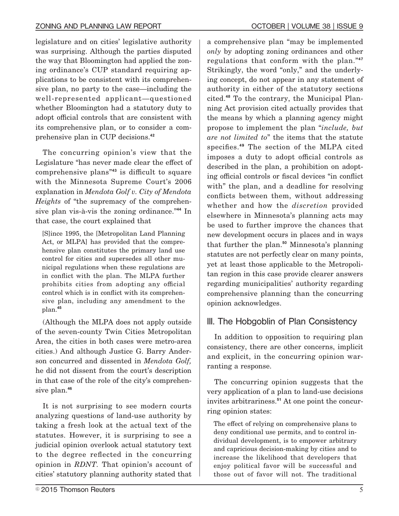legislature and on cities' legislative authority was surprising. Although the parties disputed the way that Bloomington had applied the zoning ordinance's CUP standard requiring applications to be consistent with its comprehensive plan, no party to the case—including the well-represented applicant—questioned whether Bloomington had a statutory duty to adopt official controls that are consistent with its comprehensive plan, or to consider a comprehensive plan in CUP decisions.**<sup>42</sup>**

The concurring opinion's view that the Legislature "has never made clear the effect of comprehensive plans"<sup>43</sup> is difficult to square with the Minnesota Supreme Court's 2006 explanation in *Mendota Golf v. City of Mendota Heights* of "the supremacy of the comprehensive plan vis-à-vis the zoning ordinance."**<sup>44</sup>** In that case, the court explained that

[S]ince 1995, the [Metropolitan Land Planning Act, or MLPA] has provided that the comprehensive plan constitutes the primary land use control for cities and supersedes all other municipal regulations when these regulations are in conflict with the plan. The MLPA further prohibits cities from adopting any official control which is in conflict with its comprehensive plan, including any amendment to the plan.**<sup>45</sup>**

(Although the MLPA does not apply outside of the seven-county Twin Cities Metropolitan Area, the cities in both cases were metro-area cities.) And although Justice G. Barry Anderson concurred and dissented in *Mendota Golf,* he did not dissent from the court's description in that case of the role of the city's comprehensive plan.**<sup>46</sup>**

It is not surprising to see modern courts analyzing questions of land-use authority by taking a fresh look at the actual text of the statutes. However, it is surprising to see a judicial opinion overlook actual statutory text to the degree reflected in the concurring opinion in *RDNT.* That opinion's account of cities' statutory planning authority stated that

a comprehensive plan "may be implemented *only* by adopting zoning ordinances and other regulations that conform with the plan."**<sup>47</sup>** Strikingly, the word "only," and the underlying concept, do not appear in any statement of authority in either of the statutory sections cited.**<sup>48</sup>** To the contrary, the Municipal Planning Act provision cited actually provides that the means by which a planning agency might propose to implement the plan "*include, but are not limited to*" the items that the statute specifies.<sup>49</sup> The section of the MLPA cited imposes a duty to adopt official controls as described in the plan, a prohibition on adopting official controls or fiscal devices "in conflict with" the plan, and a deadline for resolving conflicts between them, without addressing whether and how the *discretion* provided elsewhere in Minnesota's planning acts may be used to further improve the chances that new development occurs in places and in ways that further the plan.**<sup>50</sup>** Minnesota's planning statutes are not perfectly clear on many points, yet at least those applicable to the Metropolitan region in this case provide clearer answers regarding municipalities' authority regarding comprehensive planning than the concurring opinion acknowledges.

# III. The Hobgoblin of Plan Consistency

In addition to opposition to requiring plan consistency, there are other concerns, implicit and explicit, in the concurring opinion warranting a response.

The concurring opinion suggests that the very application of a plan to land-use decisions invites arbitrariness.**<sup>51</sup>** At one point the concurring opinion states:

The effect of relying on comprehensive plans to deny conditional use permits, and to control individual development, is to empower arbitrary and capricious decision-making by cities and to increase the likelihood that developers that enjoy political favor will be successful and those out of favor will not. The traditional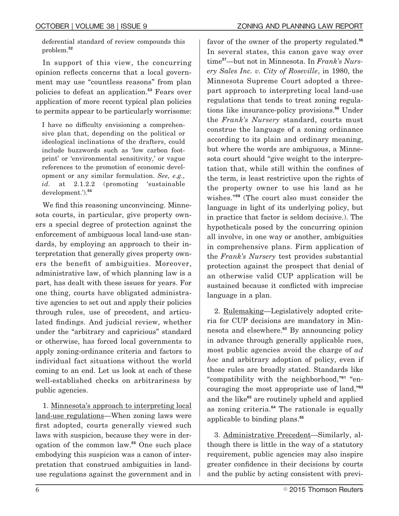deferential standard of review compounds this problem.**<sup>52</sup>**

In support of this view, the concurring opinion reflects concerns that a local government may use "countless reasons" from plan policies to defeat an application.**<sup>53</sup>** Fears over application of more recent typical plan policies to permits appear to be particularly worrisome:

I have no difficulty envisioning a comprehensive plan that, depending on the political or ideological inclinations of the drafters, could include buzzwords such as 'low carbon footprint' or 'environmental sensitivity,' or vague references to the promotion of economic development or any similar formulation. *See, e.g., id.* at 2.1.2.2 (promoting 'sustainable development.').**<sup>54</sup>**

We find this reasoning unconvincing. Minnesota courts, in particular, give property owners a special degree of protection against the enforcement of ambiguous local land-use standards, by employing an approach to their interpretation that generally gives property owners the benefit of ambiguities. Moreover, administrative law, of which planning law is a part, has dealt with these issues for years. For one thing, courts have obligated administrative agencies to set out and apply their policies through rules, use of precedent, and articulated findings. And judicial review, whether under the "arbitrary and capricious" standard or otherwise, has forced local governments to apply zoning-ordinance criteria and factors to individual fact situations without the world coming to an end. Let us look at each of these well-established checks on arbitrariness by public agencies.

1. Minnesota's approach to interpreting local land-use regulations—When zoning laws were first adopted, courts generally viewed such laws with suspicion, because they were in derogation of the common law.**<sup>55</sup>** One such place embodying this suspicion was a canon of interpretation that construed ambiguities in landuse regulations against the government and in

favor of the owner of the property regulated.**<sup>56</sup>** In several states, this canon gave way over time**<sup>57</sup>**—but not in Minnesota. In *Frank's Nursery Sales Inc. v. City of Roseville*, in 1980, the Minnesota Supreme Court adopted a threepart approach to interpreting local land-use regulations that tends to treat zoning regulations like insurance-policy provisions.**<sup>58</sup>** Under the *Frank's Nursery* standard, courts must construe the language of a zoning ordinance according to its plain and ordinary meaning, but where the words are ambiguous, a Minnesota court should "give weight to the interpretation that, while still within the confines of the term, is least restrictive upon the rights of the property owner to use his land as he wishes."**<sup>59</sup>** (The court also must consider the language in light of its underlying policy, but in practice that factor is seldom decisive.). The hypotheticals posed by the concurring opinion all involve, in one way or another, ambiguities in comprehensive plans. Firm application of the *Frank's Nursery* test provides substantial protection against the prospect that denial of an otherwise valid CUP application will be sustained because it conflicted with imprecise language in a plan.

2. Rulemaking—Legislatively adopted criteria for CUP decisions are mandatory in Minnesota and elsewhere.**<sup>60</sup>** By announcing policy in advance through generally applicable rues, most public agencies avoid the charge of *ad hoc* and arbitrary adoption of policy, even if those rules are broadly stated. Standards like "compatibility with the neighborhood,"**<sup>61</sup>** "encouraging the most appropriate use of land,"**<sup>62</sup>** and the like**<sup>63</sup>** are routinely upheld and applied as zoning criteria.**<sup>64</sup>** The rationale is equally applicable to binding plans.**<sup>65</sup>**

3. Administrative Precedent—Similarly, although there is little in the way of a statutory requirement, public agencies may also inspire greater confidence in their decisions by courts and the public by acting consistent with previ-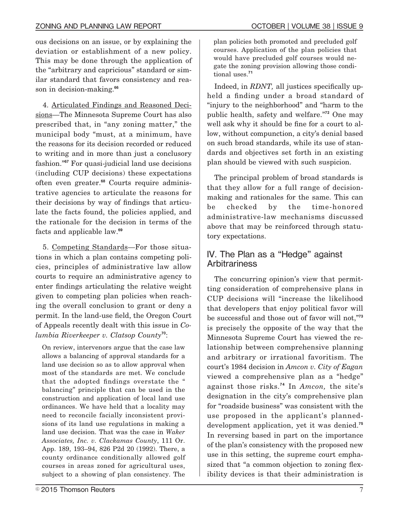ous decisions on an issue, or by explaining the deviation or establishment of a new policy. This may be done through the application of the "arbitrary and capricious" standard or similar standard that favors consistency and reason in decision-making.**<sup>66</sup>**

4. Articulated Findings and Reasoned Decisions—The Minnesota Supreme Court has also prescribed that, in "any zoning matter," the municipal body "must, at a minimum, have the reasons for its decision recorded or reduced to writing and in more than just a conclusory fashion."**<sup>67</sup>** For quasi-judicial land use decisions (including CUP decisions) these expectations often even greater.**<sup>68</sup>** Courts require administrative agencies to articulate the reasons for their decisions by way of findings that articulate the facts found, the policies applied, and the rationale for the decision in terms of the facts and applicable law.**<sup>69</sup>**

5. Competing Standards—For those situations in which a plan contains competing policies, principles of administrative law allow courts to require an administrative agency to enter findings articulating the relative weight given to competing plan policies when reaching the overall conclusion to grant or deny a permit. In the land-use field, the Oregon Court of Appeals recently dealt with this issue in *Columbia Riverkeeper v. Clatsop County***<sup>70</sup>**:

On review, intervenors argue that the case law allows a balancing of approval standards for a land use decision so as to allow approval when most of the standards are met. We conclude that the adopted findings overstate the " balancing" principle that can be used in the construction and application of local land use ordinances. We have held that a locality may need to reconcile facially inconsistent provisions of its land use regulations in making a land use decision. That was the case in *Waker Associates, Inc. v. Clackamas County*, 111 Or. App. 189, 193–94, 826 P2d 20 (1992). There, a county ordinance conditionally allowed golf courses in areas zoned for agricultural uses, subject to a showing of plan consistency. The plan policies both promoted and precluded golf courses. Application of the plan policies that would have precluded golf courses would negate the zoning provision allowing those conditional uses.**<sup>71</sup>**

Indeed, in *RDNT*, all justices specifically upheld a finding under a broad standard of "injury to the neighborhood" and "harm to the public health, safety and welfare."**<sup>72</sup>** One may well ask why it should be fine for a court to allow, without compunction, a city's denial based on such broad standards, while its use of standards and objectives set forth in an existing plan should be viewed with such suspicion.

The principal problem of broad standards is that they allow for a full range of decisionmaking and rationales for the same. This can be checked by the time-honored administrative-law mechanisms discussed above that may be reinforced through statutory expectations.

## IV. The Plan as a "Hedge" against **Arbitrariness**

The concurring opinion's view that permitting consideration of comprehensive plans in CUP decisions will "increase the likelihood that developers that enjoy political favor will be successful and those out of favor will not,"**<sup>73</sup>** is precisely the opposite of the way that the Minnesota Supreme Court has viewed the relationship between comprehensive planning and arbitrary or irrational favoritism. The court's 1984 decision in *Amcon v. City of Eagan* viewed a comprehensive plan as a "hedge" against those risks.**<sup>74</sup>** In *Amcon,* the site's designation in the city's comprehensive plan for "roadside business" was consistent with the use proposed in the applicant's planneddevelopment application, yet it was denied.**<sup>75</sup>** In reversing based in part on the importance of the plan's consistency with the proposed new use in this setting, the supreme court emphasized that "a common objection to zoning flexibility devices is that their administration is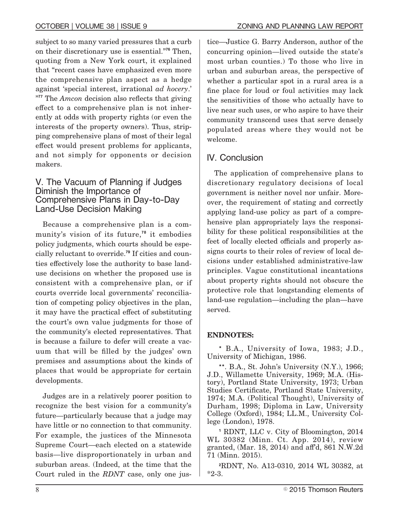subject to so many varied pressures that a curb on their discretionary use is essential."**<sup>76</sup>** Then, quoting from a New York court, it explained that "recent cases have emphasized even more the comprehensive plan aspect as a hedge against 'special interest, irrational *ad hocery*.' <sup>777</sup> The *Amcon* decision also reflects that giving effect to a comprehensive plan is not inherently at odds with property rights (or even the interests of the property owners). Thus, stripping comprehensive plans of most of their legal effect would present problems for applicants, and not simply for opponents or decision makers.

#### V. The Vacuum of Planning if Judges Diminish the Importance of Comprehensive Plans in Day-to-Day Land-Use Decision Making

Because a comprehensive plan is a community's vision of its future,**<sup>78</sup>** it embodies policy judgments, which courts should be especially reluctant to override.**<sup>79</sup>** If cities and counties effectively lose the authority to base landuse decisions on whether the proposed use is consistent with a comprehensive plan, or if courts override local governments' reconciliation of competing policy objectives in the plan, it may have the practical effect of substituting the court's own value judgments for those of the community's elected representatives. That is because a failure to defer will create a vacuum that will be filled by the judges' own premises and assumptions about the kinds of places that would be appropriate for certain developments.

Judges are in a relatively poorer position to recognize the best vision for a community's future—particularly because that a judge may have little or no connection to that community. For example, the justices of the Minnesota Supreme Court—each elected on a statewide basis—live disproportionately in urban and suburban areas. (Indeed, at the time that the Court ruled in the *RDNT* case, only one justice—Justice G. Barry Anderson, author of the concurring opinion—lived outside the state's most urban counties.) To those who live in urban and suburban areas, the perspective of whether a particular spot in a rural area is a fine place for loud or foul activities may lack the sensitivities of those who actually have to live near such uses, or who aspire to have their community transcend uses that serve densely populated areas where they would not be welcome.

# IV. Conclusion

The application of comprehensive plans to discretionary regulatory decisions of local government is neither novel nor unfair. Moreover, the requirement of stating and correctly applying land-use policy as part of a comprehensive plan appropriately lays the responsibility for these political responsibilities at the feet of locally elected officials and properly assigns courts to their roles of review of local decisions under established administrative-law principles. Vague constitutional incantations about property rights should not obscure the protective role that longstanding elements of land-use regulation—including the plan—have served.

#### **ENDNOTES:**

**\*** B.A., University of Iowa, 1983; J.D., University of Michigan, 1986.

**\*\***. B.A., St. John's University (N.Y.), 1966; J.D., Willamette University, 1969; M.A. (History), Portland State University, 1973; Urban Studies Certificate, Portland State University, 1974; M.A. (Political Thought), University of Durham, 1998; Diploma in Law, University College (Oxford), 1984; LL.M., University College (London), 1978.

**<sup>1</sup>** RDNT, LLC v. City of Bloomington, 2014 WL 30382 (Minn. Ct. App. 2014), review granted,  $(Mar. 18, 2014)$  and aff'd,  $861$  N.W.2d 71 (Minn. 2015).

**2** RDNT, No. A13-0310, 2014 WL 30382, at \*2-3.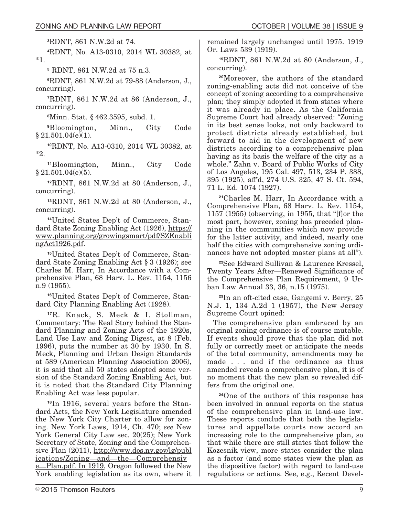**3** RDNT, 861 N.W.2d at 74.

**4** RDNT, No. A13-0310, 2014 WL 30382, at \*1.

**<sup>5</sup>** RDNT, 861 N.W.2d at 75 n.3.

**6** RDNT, 861 N.W.2d at 79-88 (Anderson, J., concurring).

**<sup>7</sup>**RDNT, 861 N.W.2d at 86 (Anderson, J., concurring).

**8** Minn. Stat. § 462.3595, subd. 1.

**<sup>9</sup>**Bloomington, Minn., City Code  $§ 21.501.04(e)(1).$ 

**<sup>10</sup>**RDNT, No. A13-0310, 2014 WL 30382, at \*2.

**<sup>11</sup>**Bloomington, Minn., City Code  $§ 21.501.04(e)(5).$ 

**<sup>12</sup>**RDNT, 861 N.W.2d at 80 (Anderson, J., concurring).

**<sup>13</sup>**RDNT, 861 N.W.2d at 80 (Anderson, J., concurring).

**14**United States Dep't of Commerce, Standard State Zoning Enabling Act (1926), https:// www.planning.org/growingsmart/pdf/SZEnabli ngAct1926.pdf.

**15**United States Dep't of Commerce, Standard State Zoning Enabling Act § 3 (1926); see Charles M. Harr, In Accordance with a Comprehensive Plan, 68 Harv. L. Rev. 1154, 1156 n.9 (1955).

**16**United States Dep't of Commerce, Standard City Planning Enabling Act (1928).

**<sup>17</sup>**R. Knack, S. Meck & I. Stollman, Commentary: The Real Story behind the Standard Planning and Zoning Acts of the 1920s, Land Use Law and Zoning Digest, at 8 (Feb. 1996), puts the number at 30 by 1930. In S. Meck, Planning and Urban Design Standards at 589 (American Planning Association 2006), it is said that all 50 states adopted some version of the Standard Zoning Enabling Act, but it is noted that the Standard City Planning Enabling Act was less popular.

**18**In 1916, several years before the Standard Acts, the New York Legislature amended the New York City Charter to allow for zoning. New York Laws, 1914, Ch. 470; *see* New York General City Law sec. 20(25); New York Secretary of State, Zoning and the Comprehensive Plan (2011), http://www.dos.ny.gov/lg/publ ications/Zoning—and—the—Comprehensiv

e—Plan.pdf. In 1919, Oregon followed the New York enabling legislation as its own, where it remained largely unchanged until 1975. 1919 Or. Laws 539 (1919).

**<sup>19</sup>**RDNT, 861 N.W.2d at 80 (Anderson, J., concurring).

**<sup>20</sup>**Moreover, the authors of the standard zoning-enabling acts did not conceive of the concept of zoning according to a comprehensive plan; they simply adopted it from states where it was already in place. As the California Supreme Court had already observed: "Zoning in its best sense looks, not only backward to protect districts already established, but forward to aid in the development of new districts according to a comprehensive plan having as its basis the welfare of the city as a whole." Zahn v. Board of Public Works of City of Los Angeles, 195 Cal. 497, 513, 234 P. 388, 395 (1925), aff'd, 274 U.S. 325, 47 S. Ct. 594, 71 L. Ed. 1074 (1927).

**<sup>21</sup>**Charles M. Harr, In Accordance with a Comprehensive Plan, 68 Harv. L. Rev. 1154, 1157 (1955) (observing, in 1955, that "[f]or the most part, however, zoning has preceded planning in the communities which now provide for the latter activity, and indeed, nearly one half the cities with comprehensive zoning ordinances have not adopted master plans at all").

**<sup>22</sup>**See Edward Sullivan & Laurence Kressel, Twenty Years After—Renewed Significance of the Comprehensive Plan Requirement, 9 Urban Law Annual 33, 36, n.15 (1975).

**<sup>23</sup>**In an oft-cited case, Gangemi v. Berry, 25 N.J. 1, 134 A.2d 1 (1957), the New Jersey Supreme Court opined:

The comprehensive plan embraced by an original zoning ordinance is of course mutable. If events should prove that the plan did not fully or correctly meet or anticipate the needs of the total community, amendments may be made . . . and if the ordinance as thus amended reveals a comprehensive plan, it is of no moment that the new plan so revealed differs from the original one.

**<sup>24</sup>**One of the authors of this response has been involved in annual reports on the status of the comprehensive plan in land-use law. These reports conclude that both the legislatures and appellate courts now accord an increasing role to the comprehensive plan, so that while there are still states that follow the Kozesnik view, more states consider the plan as a factor (and some states view the plan as the dispositive factor) with regard to land-use regulations or actions. See, e.g., Recent Devel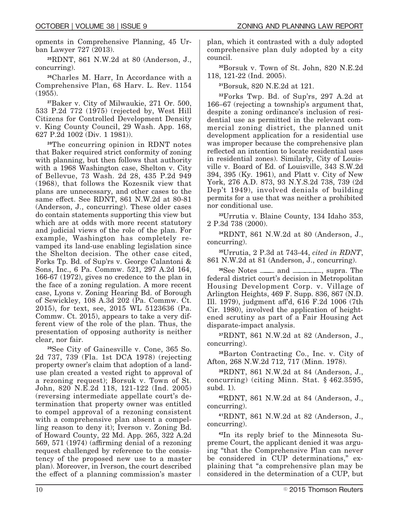opments in Comprehensive Planning, 45 Urban Lawyer 727 (2013).

**<sup>25</sup>**RDNT, 861 N.W.2d at 80 (Anderson, J., concurring).

**<sup>26</sup>**Charles M. Harr, In Accordance with a Comprehensive Plan, 68 Harv. L. Rev. 1154 (1955).

**<sup>27</sup>**Baker v. City of Milwaukie, 271 Or. 500, 533 P.2d 772 (1975) (rejected by, West Hill Citizens for Controlled Development Density v. King County Council, 29 Wash. App. 168, 627 P.2d 1002 (Div. 1 1981)).

**<sup>28</sup>**The concurring opinion in RDNT notes that Baker required strict conformity of zoning with planning, but then follows that authority with a 1968 Washington case, Shelton v. City of Bellevue, 73 Wash. 2d 28, 435 P.2d 949 (1968), that follows the Kozesnik view that plans are unnecessary, and other cases to the same effect. See RDNT, 861 N.W.2d at 80-81 (Anderson, J., concurring). These older cases do contain statements supporting this view but which are at odds with more recent statutory and judicial views of the role of the plan. For example, Washington has completely revamped its land-use enabling legislation since the Shelton decision. The other case cited, Forks Tp. Bd. of Sup'rs v. George Calantoni & Sons, Inc., 6 Pa. Commw. 521, 297 A.2d 164, 166-67 (1972), gives no credence to the plan in the face of a zoning regulation. A more recent case, Lyons v. Zoning Hearing Bd. of Borough of Sewickley, 108 A.3d 202 (Pa. Commw. Ct. 2015), for text, see, 2015 WL 5123636 (Pa. Commw. Ct. 2015), appears to take a very different view of the role of the plan. Thus, the presentation of opposing authority is neither clear, nor fair.

**<sup>29</sup>**See City of Gainesville v. Cone, 365 So. 2d 737, 739 (Fla. 1st DCA 1978) (rejecting property owner's claim that adoption of a landuse plan created a vested right to approval of a rezoning request); Borsuk v. Town of St. John, 820 N.E.2d 118, 121-122 (Ind. 2005) (reversing intermediate appellate court's determination that property owner was entitled to compel approval of a rezoning consistent with a comprehensive plan absent a compelling reason to deny it); Iverson v. Zoning Bd. of Howard County, 22 Md. App. 265, 322 A.2d  $569, 571$  (1974) (affirming denial of a rezoning request challenged by reference to the consistency of the proposed new use to a master plan). Moreover, in Iverson, the court described the effect of a planning commission's master

plan, which it contrasted with a duly adopted comprehensive plan duly adopted by a city council.

**<sup>30</sup>**Borsuk v. Town of St. John, 820 N.E.2d 118, 121-22 (Ind. 2005).

**<sup>31</sup>**Borsuk, 820 N.E.2d at 121.

**<sup>32</sup>**Forks Twp. Bd. of Sup'rs, 297 A.2d at 166–67 (rejecting a township's argument that, despite a zoning ordinance's inclusion of residential use as permitted in the relevant commercial zoning district, the planned unit development application for a residential use was improper because the comprehensive plan reflected an intention to locate residential uses in residential zones). Similarly, City of Louisville v. Board of Ed. of Louisville, 343 S.W.2d 394, 395 (Ky. 1961), and Platt v. City of New York, 276 A.D. 873, 93 N.Y.S.2d 738, 739 (2d Dep't 1949), involved denials of building permits for a use that was neither a prohibited nor conditional use.

**<sup>33</sup>**Urrutia v. Blaine County, 134 Idaho 353, 2 P.3d 738 (2000).

**<sup>34</sup>**RDNT, 861 N.W.2d at 80 (Anderson, J., concurring).

**<sup>35</sup>**Urrutia, 2 P.3d at 743-44, *cited in RDNT*, 861 N.W.2d at 81 (Anderson, J., concurring).

**<sup>36</sup>**See Notes ——— and —————, supra. The federal district court's decision in Metropolitan Housing Development Corp. v. Village of Arlington Heights, 469 F. Supp. 836, 867 (N.D. Ill. 1979), judgment aff'd, 616 F.2d 1006 (7th Cir. 1980), involved the application of heightened scrutiny as part of a Fair Housing Act disparate-impact analysis.

**<sup>37</sup>**RDNT, 861 N.W.2d at 82 (Anderson, J., concurring).

**<sup>38</sup>**Barton Contracting Co., Inc. v. City of Afton, 268 N.W.2d 712, 717 (Minn. 1978).

**<sup>39</sup>**RDNT, 861 N.W.2d at 84 (Anderson, J., concurring) (citing Minn. Stat. § 462.3595, subd. 1).

**<sup>40</sup>**RDNT, 861 N.W.2d at 84 (Anderson, J., concurring).

**<sup>41</sup>**RDNT, 861 N.W.2d at 82 (Anderson, J., concurring).

**42**In its reply brief to the Minnesota Supreme Court, the applicant denied it was arguing "that the Comprehensive Plan can never be considered in CUP determinations," explaining that "a comprehensive plan may be considered in the determination of a CUP, but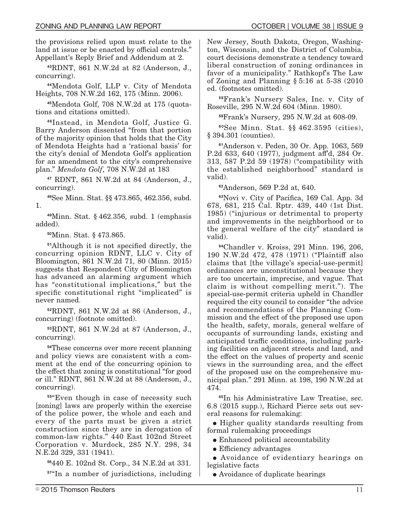the provisions relied upon must relate to the land at issue or be enacted by official controls." Appellant's Reply Brief and Addendum at 2.

**<sup>43</sup>**RDNT, 861 N.W.2d at 82 (Anderson, J., concurring).

**<sup>44</sup>**Mendota Golf, LLP v. City of Mendota Heights, 708 N.W.2d 162, 175 (Minn. 2006).

**45**Mendota Golf, 708 N.W.2d at 175 (quotations and citations omitted).

**<sup>46</sup>**Instead, in Mendota Golf, Justice G. Barry Anderson dissented "from that portion of the majority opinion that holds that the City of Mendota Heights had a 'rational basis' for the city's denial of Mendota Golf's application for an amendment to the city's comprehensive plan." *Mendota Golf*, 708 N.W.2d at 183

**<sup>47</sup>** RDNT, 861 N.W.2d at 84 (Anderson, J., concurring).

**<sup>48</sup>**See Minn. Stat. §§ 473.865, 462.356, subd. 1.

**<sup>49</sup>**Minn. Stat. § 462.356, subd. 1 (emphasis added).

**<sup>50</sup>**Minn. Stat. § 473.865.

<sup>51</sup>Although it is not specified directly, the concurring opinion RDNT, LLC v. City of Bloomington, 861 N.W.2d 71, 80 (Minn. 2015) suggests that Respondent City of Bloomington has advanced an alarming argument which has "constitutional implications," but the specific constitutional right "implicated" is never named.

**<sup>52</sup>**RDNT, 861 N.W.2d at 86 (Anderson, J., concurring) (footnote omitted).

**<sup>53</sup>**RDNT, 861 N.W.2d at 87 (Anderson, J., concurring).

**<sup>54</sup>**These concerns over more recent planning and policy views are consistent with a comment at the end of the concurring opinion to the effect that zoning is constitutional "for good" or ill." RDNT, 861 N.W.2d at 88 (Anderson, J., concurring).

**<sup>55</sup>**"Even though in case of necessity such [zoning] laws are properly within the exercise of the police power, the whole and each and every of the parts must be given a strict construction since they are in derogation of common-law rights." 440 East 102nd Street Corporation v. Murdock, 285 N.Y. 298, 34 N.E.2d 329, 331 (1941).

**<sup>56</sup>**440 E. 102nd St. Corp., 34 N.E.2d at 331.

**<sup>57</sup>**"In a number of jurisdictions, including

New Jersey, South Dakota, Oregon, Washington, Wisconsin, and the District of Columbia, court decisions demonstrate a tendency toward liberal construction of zoning ordinances in favor of a municipality." Rathkopf's The Law of Zoning and Planning § 5:16 at 5-38 (2010 ed. (footnotes omitted).

**<sup>58</sup>**Frank's Nursery Sales, Inc. v. City of Roseville, 295 N.W.2d 604 (Minn. 1980).

**<sup>59</sup>**Frank's Nursery, 295 N.W.2d at 608-09.

**<sup>60</sup>**See Minn. Stat. §§ 462.3595 (cities), § 394.301 (counties).

**<sup>61</sup>**Anderson v. Peden, 30 Or. App. 1063, 569 P.2d 633, 640 (1977), judgment aff'd, 284 Or. 313, 587 P.2d 59 (1978) ("compatibility with the established neighborhood" standard is valid).

**<sup>62</sup>**Anderson, 569 P.2d at, 640.

<sup>63</sup>Novi v. City of Pacifica, 169 Cal. App. 3d 678, 681, 215 Cal. Rptr. 439, 440 (1st Dist. 1985) ("injurious or detrimental to property and improvements in the neighborhood or to the general welfare of the city" standard is valid).

**<sup>64</sup>**Chandler v. Kroiss, 291 Minn. 196, 206, 190 N.W.2d 472, 478 (1971) ("Plaintiff also claims that [the village's special-use-permit] ordinances are unconstitutional because they are too uncertain, imprecise, and vague. That claim is without compelling merit."). The special-use-permit criteria upheld in Chandler required the city council to consider "the advice and recommendations of the Planning Commission and the effect of the proposed use upon the health, safety, morals, general welfare of occupants of surrounding lands, existing and anticipated traffic conditions, including parking facilities on adjacent streets and land, and the effect on the values of property and scenic views in the surrounding area, and the effect of the proposed use on the comprehensive municipal plan." 291 Minn. at 198, 190 N.W.2d at 474.

**<sup>65</sup>**In his Administrative Law Treatise, sec. 6.8 (2015 supp.), Richard Pierce sets out several reasons for rulemaking:

• Higher quality standards resulting from formal rulemaking proceedings

- Enhanced political accountability
- $\bullet$  Efficiency advantages

E Avoidance of evidentiary hearings on legislative facts

• Avoidance of duplicate hearings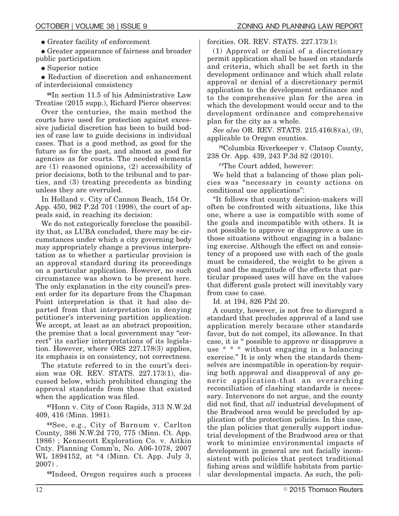• Greater facility of enforcement

E Greater appearance of fairness and broader public participation

• Superior notice

• Reduction of discretion and enhancement of interdecisional consistency

**<sup>66</sup>**In section 11.5 of his Administrative Law Treatise (2015 supp.), Richard Pierce observes:

Over the centuries, the main method the courts have used for protection against excessive judicial discretion has been to build bodies of case law to guide decisions in individual cases. That is a good method, as good for the future as for the past, and almost as good for agencies as for courts. The needed elements are (1) reasoned opinions, (2) accessibility of prior decisions, both to the tribunal and to parties, and (3) treating precedents as binding unless they are overruled.

In Holland v. City of Cannon Beach, 154 Or. App. 450, 962 P.2d 701 (1998), the court of appeals said, in reaching its decision:

We do not categorically foreclose the possibility that, as LUBA concluded, there may be circumstances under which a city governing body may appropriately change a previous interpretation as to whether a particular provision is an approval standard during its proceedings on a particular application. However, no such circumstance was shown to be present here. The only explanation in the city council's present order for its departure from the Chapman Point interpretation is that it had also departed from that interpretation in denying petitioner's intervening partition application. We accept, at least as an abstract proposition, the premise that a local government may "correct" its earlier interpretations of its legislation. However, where ORS 227.178(3) applies, its emphasis is on consistency, not correctness.

The statute referred to in the court's decision was OR. REV. STATS. 227.173(1), discussed below, which prohibited changing the approval standards from those that existed when the application was filed.

**<sup>67</sup>**Honn v. City of Coon Rapids, 313 N.W.2d 409, 416 (Minn. 1981).

**<sup>68</sup>**See, e.g., City of Barnum v. Carlton County, 386 N.W.2d 770, 775 (Minn. Ct. App. 1986) ; Kennecott Exploration Co. v. Aitkin Cnty. Planning Comm'n, No. A06-1078, 2007 WL 1894152, at \*4 (Minn. Ct. App. July 3,  $2007)$  .

**<sup>69</sup>**Indeed, Oregon requires such a process

forcities. OR. REV. STATS. 227.173(1):

(1) Approval or denial of a discretionary permit application shall be based on standards and criteria, which shall be set forth in the development ordinance and which shall relate approval or denial of a discretionary permit application to the development ordinance and to the comprehensive plan for the area in which the development would occur and to the development ordinance and comprehensive plan for the city as a whole.

*See also* OR. REV. STATS. 215.416(8)(a), (9), applicable to Oregon counties.

**<sup>70</sup>**Columbia Riverkeeper v. Clatsop County, 238 Or. App. 439, 243 P.3d 82 (2010).

**<sup>71</sup>**The Court added, however:

We held that a balancing of those plan policies was "necessary in county actions on conditional use applications":

"It follows that county decision-makers will often be confronted with situations, like this one, where a use is compatible with some of the goals and incompatible with others. It is not possible to approve or disapprove a use in those situations without engaging in a balancing exercise. Although the effect on and consistency of a proposed use with each of the goals must be considered, the weight to be given a goal and the magnitude of the effects that particular proposed uses will have on the values that different goals protect will inevitably vary from case to case.

Id. at 194, 826 P2d 20.

A county, however, is not free to disregard a standard that precludes approval of a land use application merely because other standards favor, but do not compel, its allowance. In that case, it is " possible to approve or disapprove a use \* \* \* without engaging in a balancing exercise." It is only when the standards themselves are incompatible in operation-by requiring both approval and disapproval of any generic application-that an overarching reconciliation of clashing standards is necessary. Intervenors do not argue, and the county did not find, that *all* industrial development of the Bradwood area would be precluded by application of the protection policies. In this case, the plan policies that generally support industrial development of the Bradwood area or that work to minimize environmental impacts of development in general are not facially inconsistent with policies that protect traditional fishing areas and wildlife habitats from particular developmental impacts. As such, the poli